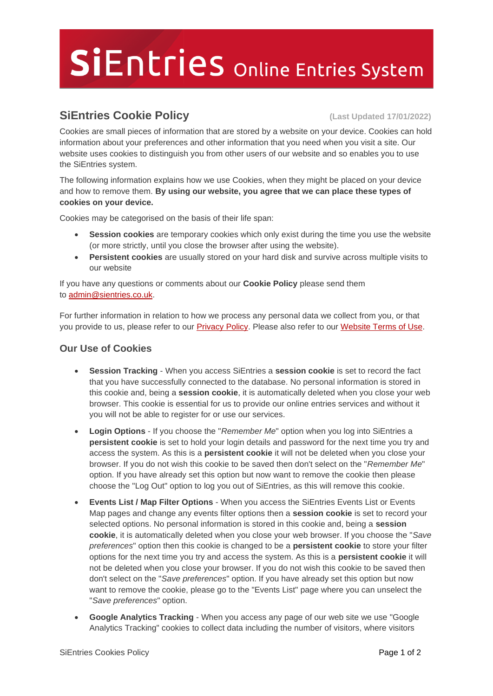## SiEntries Online Entries System

## **SiEntries Cookie Policy (Last Updated 17/01/2022)**

Cookies are small pieces of information that are stored by a website on your device. Cookies can hold information about your preferences and other information that you need when you visit a site. Our website uses cookies to distinguish you from other users of our website and so enables you to use the SiEntries system.

The following information explains how we use Cookies, when they might be placed on your device and how to remove them. **By using our website, you agree that we can place these types of cookies on your device.**

Cookies may be categorised on the basis of their life span:

- **Session cookies** are temporary cookies which only exist during the time you use the website (or more strictly, until you close the browser after using the website).
- **Persistent cookies** are usually stored on your hard disk and survive across multiple visits to our website

If you have any questions or comments about our **Cookie Policy** please send them to [admin@sientries.co.uk.](mailto:admin@sientries.co.uk)

For further information in relation to how we process any personal data we collect from you, or that you provide to us, please refer to our **Privacy Policy**. Please also refer to our [Website Terms of Use.](https://www.sientries.co.uk/terms.php)

## **Our Use of Cookies**

- **Session Tracking** When you access SiEntries a **session cookie** is set to record the fact that you have successfully connected to the database. No personal information is stored in this cookie and, being a **session cookie**, it is automatically deleted when you close your web browser. This cookie is essential for us to provide our online entries services and without it you will not be able to register for or use our services.
- **Login Options** If you choose the "*Remember Me*" option when you log into SiEntries a **persistent cookie** is set to hold your login details and password for the next time you try and access the system. As this is a **persistent cookie** it will not be deleted when you close your browser. If you do not wish this cookie to be saved then don't select on the "*Remember Me*" option. If you have already set this option but now want to remove the cookie then please choose the "Log Out" option to log you out of SiEntries, as this will remove this cookie.
- **Events List / Map Filter Options** When you access the SiEntries Events List or Events Map pages and change any events filter options then a **session cookie** is set to record your selected options. No personal information is stored in this cookie and, being a **session cookie**, it is automatically deleted when you close your web browser. If you choose the "*Save preferences*" option then this cookie is changed to be a **persistent cookie** to store your filter options for the next time you try and access the system. As this is a **persistent cookie** it will not be deleted when you close your browser. If you do not wish this cookie to be saved then don't select on the "*Save preferences*" option. If you have already set this option but now want to remove the cookie, please go to the "Events List" page where you can unselect the "*Save preferences*" option.
- **Google Analytics Tracking** When you access any page of our web site we use "Google Analytics Tracking" cookies to collect data including the number of visitors, where visitors